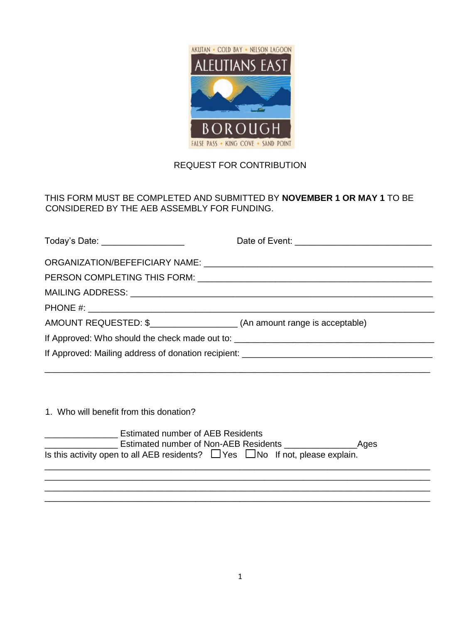

## REQUEST FOR CONTRIBUTION

## THIS FORM MUST BE COMPLETED AND SUBMITTED BY **NOVEMBER 1 OR MAY 1** TO BE CONSIDERED BY THE AEB ASSEMBLY FOR FUNDING.

| Today's Date: ____________________                                              |  |
|---------------------------------------------------------------------------------|--|
|                                                                                 |  |
|                                                                                 |  |
|                                                                                 |  |
|                                                                                 |  |
| AMOUNT REQUESTED: \$____________________________(An amount range is acceptable) |  |
|                                                                                 |  |
|                                                                                 |  |

1. Who will benefit from this donation?

| <b>Estimated number of AEB Residents</b>                                                 |  |      |
|------------------------------------------------------------------------------------------|--|------|
| Estimated number of Non-AEB Residents                                                    |  | Ages |
| Is this activity open to all AEB residents? $\Box$ Yes $\Box$ No If not, please explain. |  |      |
|                                                                                          |  |      |

\_\_\_\_\_\_\_\_\_\_\_\_\_\_\_\_\_\_\_\_\_\_\_\_\_\_\_\_\_\_\_\_\_\_\_\_\_\_\_\_\_\_\_\_\_\_\_\_\_\_\_\_\_\_\_\_\_\_\_\_\_\_\_\_\_\_\_\_\_\_\_\_\_\_\_\_\_\_\_ \_\_\_\_\_\_\_\_\_\_\_\_\_\_\_\_\_\_\_\_\_\_\_\_\_\_\_\_\_\_\_\_\_\_\_\_\_\_\_\_\_\_\_\_\_\_\_\_\_\_\_\_\_\_\_\_\_\_\_\_\_\_\_\_\_\_\_\_\_\_\_\_\_\_\_\_\_\_\_ \_\_\_\_\_\_\_\_\_\_\_\_\_\_\_\_\_\_\_\_\_\_\_\_\_\_\_\_\_\_\_\_\_\_\_\_\_\_\_\_\_\_\_\_\_\_\_\_\_\_\_\_\_\_\_\_\_\_\_\_\_\_\_\_\_\_\_\_\_\_\_\_\_\_\_\_\_\_\_